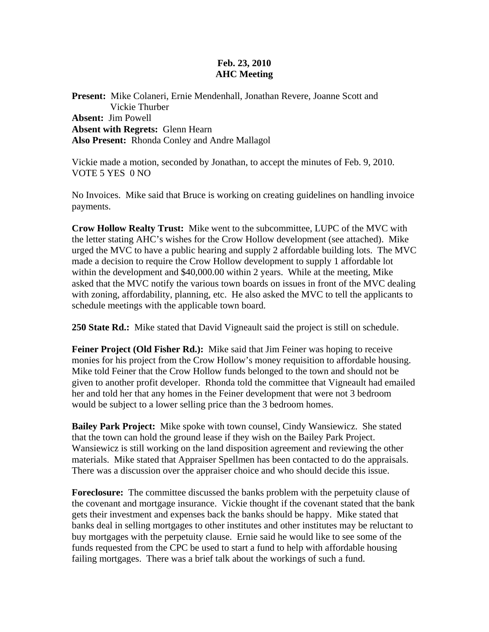## **Feb. 23, 2010 AHC Meeting**

**Present:** Mike Colaneri, Ernie Mendenhall, Jonathan Revere, Joanne Scott and Vickie Thurber **Absent:** Jim Powell **Absent with Regrets:** Glenn Hearn **Also Present:** Rhonda Conley and Andre Mallagol

Vickie made a motion, seconded by Jonathan, to accept the minutes of Feb. 9, 2010. VOTE 5 YES 0 NO

No Invoices. Mike said that Bruce is working on creating guidelines on handling invoice payments.

**Crow Hollow Realty Trust:** Mike went to the subcommittee, LUPC of the MVC with the letter stating AHC's wishes for the Crow Hollow development (see attached). Mike urged the MVC to have a public hearing and supply 2 affordable building lots. The MVC made a decision to require the Crow Hollow development to supply 1 affordable lot within the development and \$40,000.00 within 2 years. While at the meeting, Mike asked that the MVC notify the various town boards on issues in front of the MVC dealing with zoning, affordability, planning, etc. He also asked the MVC to tell the applicants to schedule meetings with the applicable town board.

**250 State Rd.:** Mike stated that David Vigneault said the project is still on schedule.

**Feiner Project (Old Fisher Rd.):** Mike said that Jim Feiner was hoping to receive monies for his project from the Crow Hollow's money requisition to affordable housing. Mike told Feiner that the Crow Hollow funds belonged to the town and should not be given to another profit developer. Rhonda told the committee that Vigneault had emailed her and told her that any homes in the Feiner development that were not 3 bedroom would be subject to a lower selling price than the 3 bedroom homes.

**Bailey Park Project:** Mike spoke with town counsel, Cindy Wansiewicz. She stated that the town can hold the ground lease if they wish on the Bailey Park Project. Wansiewicz is still working on the land disposition agreement and reviewing the other materials. Mike stated that Appraiser Spellmen has been contacted to do the appraisals. There was a discussion over the appraiser choice and who should decide this issue.

**Foreclosure:** The committee discussed the banks problem with the perpetuity clause of the covenant and mortgage insurance. Vickie thought if the covenant stated that the bank gets their investment and expenses back the banks should be happy. Mike stated that banks deal in selling mortgages to other institutes and other institutes may be reluctant to buy mortgages with the perpetuity clause. Ernie said he would like to see some of the funds requested from the CPC be used to start a fund to help with affordable housing failing mortgages. There was a brief talk about the workings of such a fund.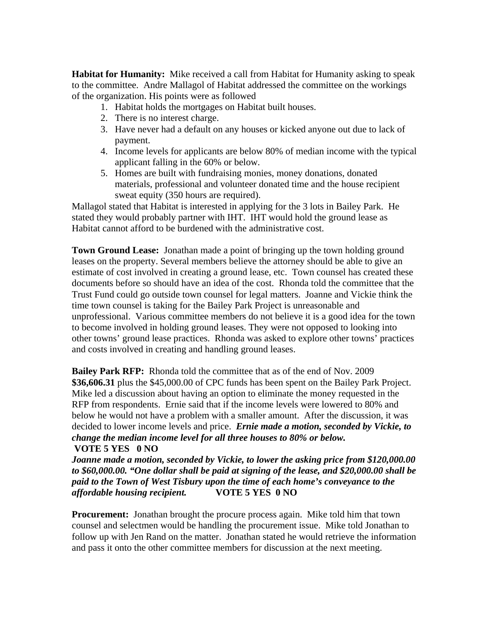**Habitat for Humanity:** Mike received a call from Habitat for Humanity asking to speak to the committee. Andre Mallagol of Habitat addressed the committee on the workings of the organization. His points were as followed

- 1. Habitat holds the mortgages on Habitat built houses.
- 2. There is no interest charge.
- 3. Have never had a default on any houses or kicked anyone out due to lack of payment.
- 4. Income levels for applicants are below 80% of median income with the typical applicant falling in the 60% or below.
- 5. Homes are built with fundraising monies, money donations, donated materials, professional and volunteer donated time and the house recipient sweat equity (350 hours are required).

Mallagol stated that Habitat is interested in applying for the 3 lots in Bailey Park. He stated they would probably partner with IHT. IHT would hold the ground lease as Habitat cannot afford to be burdened with the administrative cost.

**Town Ground Lease:** Jonathan made a point of bringing up the town holding ground leases on the property. Several members believe the attorney should be able to give an estimate of cost involved in creating a ground lease, etc. Town counsel has created these documents before so should have an idea of the cost. Rhonda told the committee that the Trust Fund could go outside town counsel for legal matters. Joanne and Vickie think the time town counsel is taking for the Bailey Park Project is unreasonable and unprofessional. Various committee members do not believe it is a good idea for the town to become involved in holding ground leases. They were not opposed to looking into other towns' ground lease practices. Rhonda was asked to explore other towns' practices and costs involved in creating and handling ground leases.

**Bailey Park RFP:** Rhonda told the committee that as of the end of Nov. 2009 **\$36,606.31** plus the \$45,000.00 of CPC funds has been spent on the Bailey Park Project. Mike led a discussion about having an option to eliminate the money requested in the RFP from respondents. Ernie said that if the income levels were lowered to 80% and below he would not have a problem with a smaller amount. After the discussion, it was decided to lower income levels and price. *Ernie made a motion, seconded by Vickie, to change the median income level for all three houses to 80% or below.*  **VOTE 5 YES 0 NO** 

*Joanne made a motion, seconded by Vickie, to lower the asking price from \$120,000.00 to \$60,000.00. "One dollar shall be paid at signing of the lease, and \$20,000.00 shall be paid to the Town of West Tisbury upon the time of each home's conveyance to the affordable housing recipient.* **VOTE 5 YES 0 NO** 

**Procurement:** Jonathan brought the procure process again. Mike told him that town counsel and selectmen would be handling the procurement issue. Mike told Jonathan to follow up with Jen Rand on the matter. Jonathan stated he would retrieve the information and pass it onto the other committee members for discussion at the next meeting.